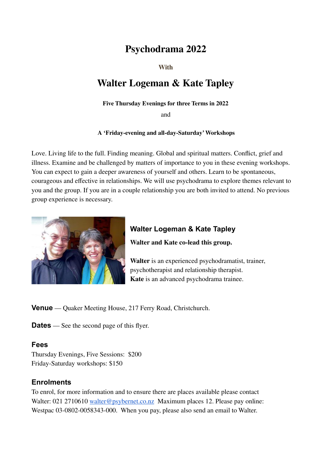# **Psychodrama 2022**

**With**

# **Walter Logeman & Kate Tapley**

#### **Five Thursday Evenings for three Terms in 2022**

and

#### **A 'Friday-evening and all-day-Saturday'Workshops**

Love. Living life to the full. Finding meaning. Global and spiritual matters. Conflict, grief and illness. Examine and be challenged by matters of importance to you in these evening workshops. You can expect to gain a deeper awareness of yourself and others. Learn to be spontaneous, courageous and effective in relationships. We will use psychodrama to explore themes relevant to you and the group. If you are in a couple relationship you are both invited to attend. No previous group experience is necessary.



# **Walter Logeman & Kate Tapley**

**Walter and Kate co-lead this group.**

**Walter** is an experienced psychodramatist, trainer, psychotherapist and relationship therapist. **Kate** is an advanced psychodrama trainee.

**Venue** — Quaker Meeting House, 217 Ferry Road, Christchurch.

**Dates** — See the second page of this flyer.

#### **Fees**

Thursday Evenings, Five Sessions: \$200 Friday-Saturday workshops: \$150

#### **Enrolments**

To enrol, for more information and to ensure there are places available please contact Walter: 021 2710610 [walter@psybernet.co.nz](mailto:walter@psybernet.co.nz) Maximum places 12. Please pay online: Westpac 03-0802-0058343-000. When you pay, please also send an email to Walter.